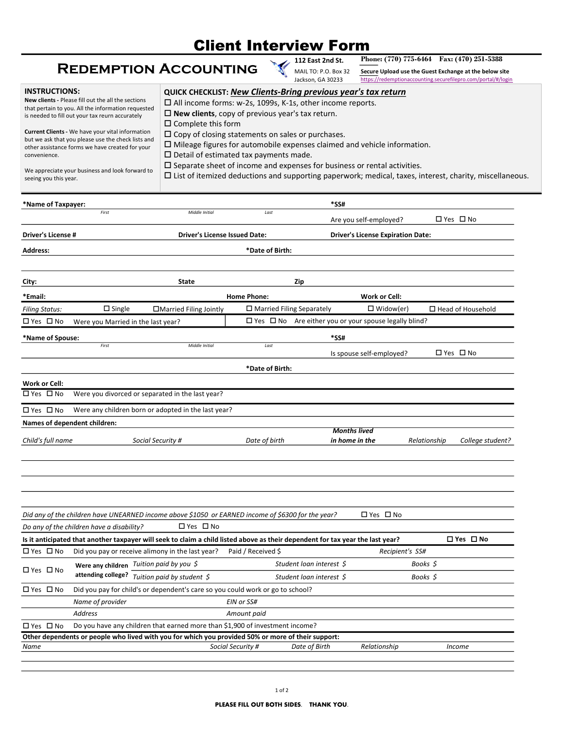## Client Interview Form

## Redemption Accounting

| 0: P.O. Box 32 | Secui              |
|----------------|--------------------|
| , GA 30233     | httne <sup>-</sup> |

| <b>REDEMPTION ACCOUNTING</b><br>MAIL TO: P.O. Box 32<br>Secure Upload use the Guest Exchange at the below site<br>Jackson, GA 30233<br>https://redemptionaccounting.securefilepro.com/portal/#/login<br><b>INSTRUCTIONS:</b><br>QUICK CHECKLIST: New Clients-Bring previous year's tax return<br>New clients - Please fill out the all the sections<br>□ All income forms: w-2s, 1099s, K-1s, other income reports.<br>that pertain to you. All the information requested<br>$\square$ New clients, copy of previous year's tax return.<br>is needed to fill out your tax reurn accurately<br>$\square$ Complete this form<br>Current Clients - We have your vital information<br>$\Box$ Copy of closing statements on sales or purchases.<br>but we ask that you please use the check lists and<br>$\square$ Mileage figures for automobile expenses claimed and vehicle information.<br>other assistance forms we have created for your<br>$\square$ Detail of estimated tax payments made.<br>convenience.<br>$\square$ Separate sheet of income and expenses for business or rental activities.<br>We appreciate your business and look forward to<br>$\Box$ List of itemized deductions and supporting paperwork; medical, taxes, interest, charity, miscellaneous.<br>seeing you this year.<br>Name of Taxpayer:<br>*SS#<br>First<br>Middle Initial<br>Last<br>□ Yes □ No<br>Are you self-employed?<br><b>Driver's License #</b><br><b>Driver's License Issued Date:</b><br><b>Driver's License Expiration Date:</b><br>*Date of Birth:<br><b>Address:</b><br>City:<br>Zip<br><b>State</b><br>*Email:<br><b>Home Phone:</b><br><b>Work or Cell:</b><br>$\square$ Single<br>□ Married Filing Separately<br>$\square$ Widow(er)<br>□ Married Filing Jointly<br>$\square$ Head of Household<br><b>Filing Status:</b><br>$\Box$ Yes $\Box$ No Are either you or your spouse legally blind?<br>□ Yes □ No<br>Were you Married in the last year?<br>*Name of Spouse:<br>*SS#<br>First<br>Middle Initial<br>$\it Last$<br>□ Yes □ No<br>Is spouse self-employed?<br>*Date of Birth:<br><b>Work or Cell:</b><br>$\overline{\Box$ Yes $\overline{\Box}$ No<br>Were you divorced or separated in the last year?<br>□ Yes □ No<br>Were any children born or adopted in the last year?<br>Names of dependent children:<br><b>Months lived</b><br>Social Security #<br>Date of birth<br>in home in the<br>Relationship |                   | <b>Client Interview Form</b><br>112 East 2nd St. |            | Phone: (770) 775-6464 Fax: (470) 251-5388 |
|-----------------------------------------------------------------------------------------------------------------------------------------------------------------------------------------------------------------------------------------------------------------------------------------------------------------------------------------------------------------------------------------------------------------------------------------------------------------------------------------------------------------------------------------------------------------------------------------------------------------------------------------------------------------------------------------------------------------------------------------------------------------------------------------------------------------------------------------------------------------------------------------------------------------------------------------------------------------------------------------------------------------------------------------------------------------------------------------------------------------------------------------------------------------------------------------------------------------------------------------------------------------------------------------------------------------------------------------------------------------------------------------------------------------------------------------------------------------------------------------------------------------------------------------------------------------------------------------------------------------------------------------------------------------------------------------------------------------------------------------------------------------------------------------------------------------------------------------------------------------------------------------------------------------------------------------------------------------------------------------------------------------------------------------------------------------------------------------------------------------------------------------------------------------------------------------------------------------------------------------------------------------------------------------------------------------------------------------------------------------------------------------------------------------|-------------------|--------------------------------------------------|------------|-------------------------------------------|
|                                                                                                                                                                                                                                                                                                                                                                                                                                                                                                                                                                                                                                                                                                                                                                                                                                                                                                                                                                                                                                                                                                                                                                                                                                                                                                                                                                                                                                                                                                                                                                                                                                                                                                                                                                                                                                                                                                                                                                                                                                                                                                                                                                                                                                                                                                                                                                                                                 |                   |                                                  |            |                                           |
|                                                                                                                                                                                                                                                                                                                                                                                                                                                                                                                                                                                                                                                                                                                                                                                                                                                                                                                                                                                                                                                                                                                                                                                                                                                                                                                                                                                                                                                                                                                                                                                                                                                                                                                                                                                                                                                                                                                                                                                                                                                                                                                                                                                                                                                                                                                                                                                                                 |                   |                                                  |            |                                           |
|                                                                                                                                                                                                                                                                                                                                                                                                                                                                                                                                                                                                                                                                                                                                                                                                                                                                                                                                                                                                                                                                                                                                                                                                                                                                                                                                                                                                                                                                                                                                                                                                                                                                                                                                                                                                                                                                                                                                                                                                                                                                                                                                                                                                                                                                                                                                                                                                                 |                   |                                                  |            |                                           |
|                                                                                                                                                                                                                                                                                                                                                                                                                                                                                                                                                                                                                                                                                                                                                                                                                                                                                                                                                                                                                                                                                                                                                                                                                                                                                                                                                                                                                                                                                                                                                                                                                                                                                                                                                                                                                                                                                                                                                                                                                                                                                                                                                                                                                                                                                                                                                                                                                 |                   |                                                  |            |                                           |
|                                                                                                                                                                                                                                                                                                                                                                                                                                                                                                                                                                                                                                                                                                                                                                                                                                                                                                                                                                                                                                                                                                                                                                                                                                                                                                                                                                                                                                                                                                                                                                                                                                                                                                                                                                                                                                                                                                                                                                                                                                                                                                                                                                                                                                                                                                                                                                                                                 |                   |                                                  |            |                                           |
|                                                                                                                                                                                                                                                                                                                                                                                                                                                                                                                                                                                                                                                                                                                                                                                                                                                                                                                                                                                                                                                                                                                                                                                                                                                                                                                                                                                                                                                                                                                                                                                                                                                                                                                                                                                                                                                                                                                                                                                                                                                                                                                                                                                                                                                                                                                                                                                                                 |                   |                                                  |            |                                           |
|                                                                                                                                                                                                                                                                                                                                                                                                                                                                                                                                                                                                                                                                                                                                                                                                                                                                                                                                                                                                                                                                                                                                                                                                                                                                                                                                                                                                                                                                                                                                                                                                                                                                                                                                                                                                                                                                                                                                                                                                                                                                                                                                                                                                                                                                                                                                                                                                                 |                   |                                                  |            |                                           |
|                                                                                                                                                                                                                                                                                                                                                                                                                                                                                                                                                                                                                                                                                                                                                                                                                                                                                                                                                                                                                                                                                                                                                                                                                                                                                                                                                                                                                                                                                                                                                                                                                                                                                                                                                                                                                                                                                                                                                                                                                                                                                                                                                                                                                                                                                                                                                                                                                 |                   |                                                  |            |                                           |
|                                                                                                                                                                                                                                                                                                                                                                                                                                                                                                                                                                                                                                                                                                                                                                                                                                                                                                                                                                                                                                                                                                                                                                                                                                                                                                                                                                                                                                                                                                                                                                                                                                                                                                                                                                                                                                                                                                                                                                                                                                                                                                                                                                                                                                                                                                                                                                                                                 |                   |                                                  |            |                                           |
|                                                                                                                                                                                                                                                                                                                                                                                                                                                                                                                                                                                                                                                                                                                                                                                                                                                                                                                                                                                                                                                                                                                                                                                                                                                                                                                                                                                                                                                                                                                                                                                                                                                                                                                                                                                                                                                                                                                                                                                                                                                                                                                                                                                                                                                                                                                                                                                                                 |                   |                                                  |            |                                           |
|                                                                                                                                                                                                                                                                                                                                                                                                                                                                                                                                                                                                                                                                                                                                                                                                                                                                                                                                                                                                                                                                                                                                                                                                                                                                                                                                                                                                                                                                                                                                                                                                                                                                                                                                                                                                                                                                                                                                                                                                                                                                                                                                                                                                                                                                                                                                                                                                                 |                   |                                                  |            |                                           |
|                                                                                                                                                                                                                                                                                                                                                                                                                                                                                                                                                                                                                                                                                                                                                                                                                                                                                                                                                                                                                                                                                                                                                                                                                                                                                                                                                                                                                                                                                                                                                                                                                                                                                                                                                                                                                                                                                                                                                                                                                                                                                                                                                                                                                                                                                                                                                                                                                 |                   |                                                  |            |                                           |
|                                                                                                                                                                                                                                                                                                                                                                                                                                                                                                                                                                                                                                                                                                                                                                                                                                                                                                                                                                                                                                                                                                                                                                                                                                                                                                                                                                                                                                                                                                                                                                                                                                                                                                                                                                                                                                                                                                                                                                                                                                                                                                                                                                                                                                                                                                                                                                                                                 |                   |                                                  |            |                                           |
|                                                                                                                                                                                                                                                                                                                                                                                                                                                                                                                                                                                                                                                                                                                                                                                                                                                                                                                                                                                                                                                                                                                                                                                                                                                                                                                                                                                                                                                                                                                                                                                                                                                                                                                                                                                                                                                                                                                                                                                                                                                                                                                                                                                                                                                                                                                                                                                                                 |                   |                                                  |            |                                           |
|                                                                                                                                                                                                                                                                                                                                                                                                                                                                                                                                                                                                                                                                                                                                                                                                                                                                                                                                                                                                                                                                                                                                                                                                                                                                                                                                                                                                                                                                                                                                                                                                                                                                                                                                                                                                                                                                                                                                                                                                                                                                                                                                                                                                                                                                                                                                                                                                                 |                   |                                                  |            |                                           |
|                                                                                                                                                                                                                                                                                                                                                                                                                                                                                                                                                                                                                                                                                                                                                                                                                                                                                                                                                                                                                                                                                                                                                                                                                                                                                                                                                                                                                                                                                                                                                                                                                                                                                                                                                                                                                                                                                                                                                                                                                                                                                                                                                                                                                                                                                                                                                                                                                 |                   |                                                  |            |                                           |
|                                                                                                                                                                                                                                                                                                                                                                                                                                                                                                                                                                                                                                                                                                                                                                                                                                                                                                                                                                                                                                                                                                                                                                                                                                                                                                                                                                                                                                                                                                                                                                                                                                                                                                                                                                                                                                                                                                                                                                                                                                                                                                                                                                                                                                                                                                                                                                                                                 |                   |                                                  |            |                                           |
|                                                                                                                                                                                                                                                                                                                                                                                                                                                                                                                                                                                                                                                                                                                                                                                                                                                                                                                                                                                                                                                                                                                                                                                                                                                                                                                                                                                                                                                                                                                                                                                                                                                                                                                                                                                                                                                                                                                                                                                                                                                                                                                                                                                                                                                                                                                                                                                                                 |                   |                                                  |            |                                           |
|                                                                                                                                                                                                                                                                                                                                                                                                                                                                                                                                                                                                                                                                                                                                                                                                                                                                                                                                                                                                                                                                                                                                                                                                                                                                                                                                                                                                                                                                                                                                                                                                                                                                                                                                                                                                                                                                                                                                                                                                                                                                                                                                                                                                                                                                                                                                                                                                                 |                   |                                                  |            |                                           |
|                                                                                                                                                                                                                                                                                                                                                                                                                                                                                                                                                                                                                                                                                                                                                                                                                                                                                                                                                                                                                                                                                                                                                                                                                                                                                                                                                                                                                                                                                                                                                                                                                                                                                                                                                                                                                                                                                                                                                                                                                                                                                                                                                                                                                                                                                                                                                                                                                 | Child's full name |                                                  |            | College student?                          |
|                                                                                                                                                                                                                                                                                                                                                                                                                                                                                                                                                                                                                                                                                                                                                                                                                                                                                                                                                                                                                                                                                                                                                                                                                                                                                                                                                                                                                                                                                                                                                                                                                                                                                                                                                                                                                                                                                                                                                                                                                                                                                                                                                                                                                                                                                                                                                                                                                 |                   |                                                  |            |                                           |
|                                                                                                                                                                                                                                                                                                                                                                                                                                                                                                                                                                                                                                                                                                                                                                                                                                                                                                                                                                                                                                                                                                                                                                                                                                                                                                                                                                                                                                                                                                                                                                                                                                                                                                                                                                                                                                                                                                                                                                                                                                                                                                                                                                                                                                                                                                                                                                                                                 |                   |                                                  |            |                                           |
|                                                                                                                                                                                                                                                                                                                                                                                                                                                                                                                                                                                                                                                                                                                                                                                                                                                                                                                                                                                                                                                                                                                                                                                                                                                                                                                                                                                                                                                                                                                                                                                                                                                                                                                                                                                                                                                                                                                                                                                                                                                                                                                                                                                                                                                                                                                                                                                                                 |                   |                                                  |            |                                           |
|                                                                                                                                                                                                                                                                                                                                                                                                                                                                                                                                                                                                                                                                                                                                                                                                                                                                                                                                                                                                                                                                                                                                                                                                                                                                                                                                                                                                                                                                                                                                                                                                                                                                                                                                                                                                                                                                                                                                                                                                                                                                                                                                                                                                                                                                                                                                                                                                                 |                   |                                                  |            |                                           |
|                                                                                                                                                                                                                                                                                                                                                                                                                                                                                                                                                                                                                                                                                                                                                                                                                                                                                                                                                                                                                                                                                                                                                                                                                                                                                                                                                                                                                                                                                                                                                                                                                                                                                                                                                                                                                                                                                                                                                                                                                                                                                                                                                                                                                                                                                                                                                                                                                 |                   |                                                  | □ Yes □ No |                                           |
| Did any of the children have UNEARNED income above \$1050 or EARNED income of \$6300 for the year?                                                                                                                                                                                                                                                                                                                                                                                                                                                                                                                                                                                                                                                                                                                                                                                                                                                                                                                                                                                                                                                                                                                                                                                                                                                                                                                                                                                                                                                                                                                                                                                                                                                                                                                                                                                                                                                                                                                                                                                                                                                                                                                                                                                                                                                                                                              |                   |                                                  |            |                                           |
| □ Yes □ No<br>Do any of the children have a disability?                                                                                                                                                                                                                                                                                                                                                                                                                                                                                                                                                                                                                                                                                                                                                                                                                                                                                                                                                                                                                                                                                                                                                                                                                                                                                                                                                                                                                                                                                                                                                                                                                                                                                                                                                                                                                                                                                                                                                                                                                                                                                                                                                                                                                                                                                                                                                         |                   |                                                  |            |                                           |
| □ Yes □ No<br>Is it anticipated that another taxpayer will seek to claim a child listed above as their dependent for tax year the last year?                                                                                                                                                                                                                                                                                                                                                                                                                                                                                                                                                                                                                                                                                                                                                                                                                                                                                                                                                                                                                                                                                                                                                                                                                                                                                                                                                                                                                                                                                                                                                                                                                                                                                                                                                                                                                                                                                                                                                                                                                                                                                                                                                                                                                                                                    |                   |                                                  |            |                                           |
| □ Yes □ No<br>Did you pay or receive alimony in the last year?<br>Paid / Received \$<br>Recipient's SS#                                                                                                                                                                                                                                                                                                                                                                                                                                                                                                                                                                                                                                                                                                                                                                                                                                                                                                                                                                                                                                                                                                                                                                                                                                                                                                                                                                                                                                                                                                                                                                                                                                                                                                                                                                                                                                                                                                                                                                                                                                                                                                                                                                                                                                                                                                         | □ Yes □ No        |                                                  |            |                                           |
| Were any children Tuition paid by you \$<br>Student loan interest \$<br>Books \$                                                                                                                                                                                                                                                                                                                                                                                                                                                                                                                                                                                                                                                                                                                                                                                                                                                                                                                                                                                                                                                                                                                                                                                                                                                                                                                                                                                                                                                                                                                                                                                                                                                                                                                                                                                                                                                                                                                                                                                                                                                                                                                                                                                                                                                                                                                                |                   |                                                  |            |                                           |
| attending college? $\overline{T_{\text{uition}}}$ paid by student \$<br>Student loan interest \$<br>Books \$                                                                                                                                                                                                                                                                                                                                                                                                                                                                                                                                                                                                                                                                                                                                                                                                                                                                                                                                                                                                                                                                                                                                                                                                                                                                                                                                                                                                                                                                                                                                                                                                                                                                                                                                                                                                                                                                                                                                                                                                                                                                                                                                                                                                                                                                                                    |                   |                                                  |            |                                           |
| Did you pay for child's or dependent's care so you could work or go to school?<br>□ Yes □ No                                                                                                                                                                                                                                                                                                                                                                                                                                                                                                                                                                                                                                                                                                                                                                                                                                                                                                                                                                                                                                                                                                                                                                                                                                                                                                                                                                                                                                                                                                                                                                                                                                                                                                                                                                                                                                                                                                                                                                                                                                                                                                                                                                                                                                                                                                                    |                   |                                                  |            |                                           |
| Name of provider<br>EIN or SS#                                                                                                                                                                                                                                                                                                                                                                                                                                                                                                                                                                                                                                                                                                                                                                                                                                                                                                                                                                                                                                                                                                                                                                                                                                                                                                                                                                                                                                                                                                                                                                                                                                                                                                                                                                                                                                                                                                                                                                                                                                                                                                                                                                                                                                                                                                                                                                                  |                   |                                                  |            |                                           |
| Address<br>Amount paid                                                                                                                                                                                                                                                                                                                                                                                                                                                                                                                                                                                                                                                                                                                                                                                                                                                                                                                                                                                                                                                                                                                                                                                                                                                                                                                                                                                                                                                                                                                                                                                                                                                                                                                                                                                                                                                                                                                                                                                                                                                                                                                                                                                                                                                                                                                                                                                          |                   |                                                  |            |                                           |
| □ Yes □ No<br>Do you have any children that earned more than \$1,900 of investment income?<br>Other dependents or people who lived with you for which you provided 50% or more of their support:                                                                                                                                                                                                                                                                                                                                                                                                                                                                                                                                                                                                                                                                                                                                                                                                                                                                                                                                                                                                                                                                                                                                                                                                                                                                                                                                                                                                                                                                                                                                                                                                                                                                                                                                                                                                                                                                                                                                                                                                                                                                                                                                                                                                                |                   |                                                  |            |                                           |